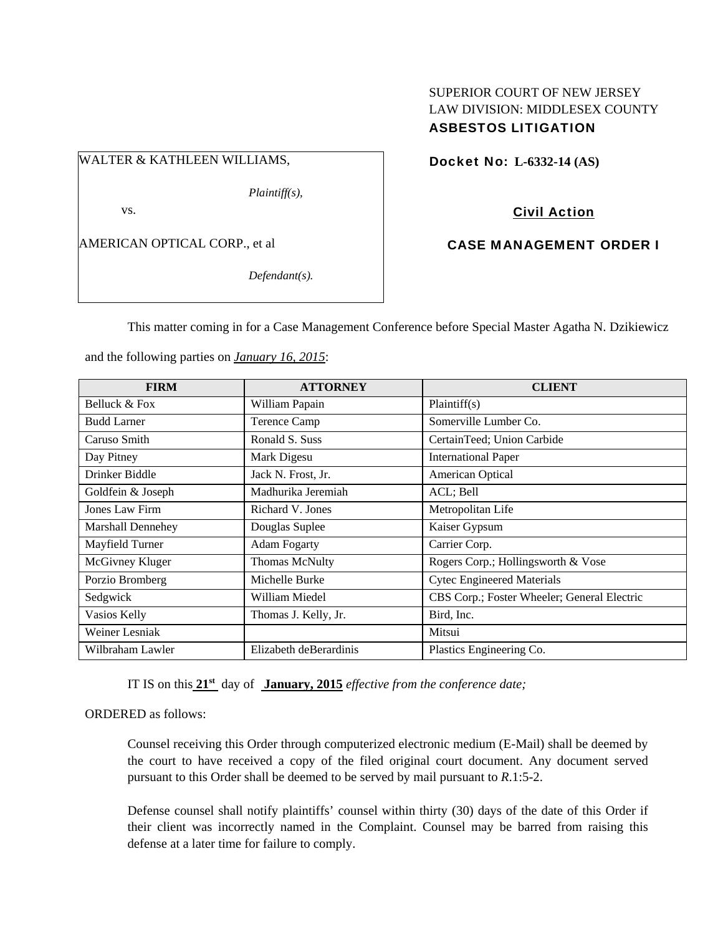## SUPERIOR COURT OF NEW JERSEY LAW DIVISION: MIDDLESEX COUNTY ASBESTOS LITIGATION

## WALTER & KATHLEEN WILLIAMS,

*Plaintiff(s),* 

vs.

AMERICAN OPTICAL CORP., et al

*Defendant(s).* 

Docket No: **L-6332-14 (AS)** 

# Civil Action

## CASE MANAGEMENT ORDER I

This matter coming in for a Case Management Conference before Special Master Agatha N. Dzikiewicz

and the following parties on *January 16, 2015*:

| <b>FIRM</b>        | <b>ATTORNEY</b>        | <b>CLIENT</b>                               |
|--------------------|------------------------|---------------------------------------------|
| Belluck & Fox      | William Papain         | Plaintiff(s)                                |
| <b>Budd Larner</b> | Terence Camp           | Somerville Lumber Co.                       |
| Caruso Smith       | Ronald S. Suss         | CertainTeed; Union Carbide                  |
| Day Pitney         | Mark Digesu            | <b>International Paper</b>                  |
| Drinker Biddle     | Jack N. Frost, Jr.     | American Optical                            |
| Goldfein & Joseph  | Madhurika Jeremiah     | ACL; Bell                                   |
| Jones Law Firm     | Richard V. Jones       | Metropolitan Life                           |
| Marshall Dennehey  | Douglas Suplee         | Kaiser Gypsum                               |
| Mayfield Turner    | <b>Adam Fogarty</b>    | Carrier Corp.                               |
| McGivney Kluger    | <b>Thomas McNulty</b>  | Rogers Corp.; Hollingsworth & Vose          |
| Porzio Bromberg    | Michelle Burke         | <b>Cytec Engineered Materials</b>           |
| Sedgwick           | William Miedel         | CBS Corp.; Foster Wheeler; General Electric |
| Vasios Kelly       | Thomas J. Kelly, Jr.   | Bird, Inc.                                  |
| Weiner Lesniak     |                        | Mitsui                                      |
| Wilbraham Lawler   | Elizabeth deBerardinis | Plastics Engineering Co.                    |

IT IS on this **21st** day of **January, 2015** *effective from the conference date;*

#### ORDERED as follows:

Counsel receiving this Order through computerized electronic medium (E-Mail) shall be deemed by the court to have received a copy of the filed original court document. Any document served pursuant to this Order shall be deemed to be served by mail pursuant to *R*.1:5-2.

Defense counsel shall notify plaintiffs' counsel within thirty (30) days of the date of this Order if their client was incorrectly named in the Complaint. Counsel may be barred from raising this defense at a later time for failure to comply.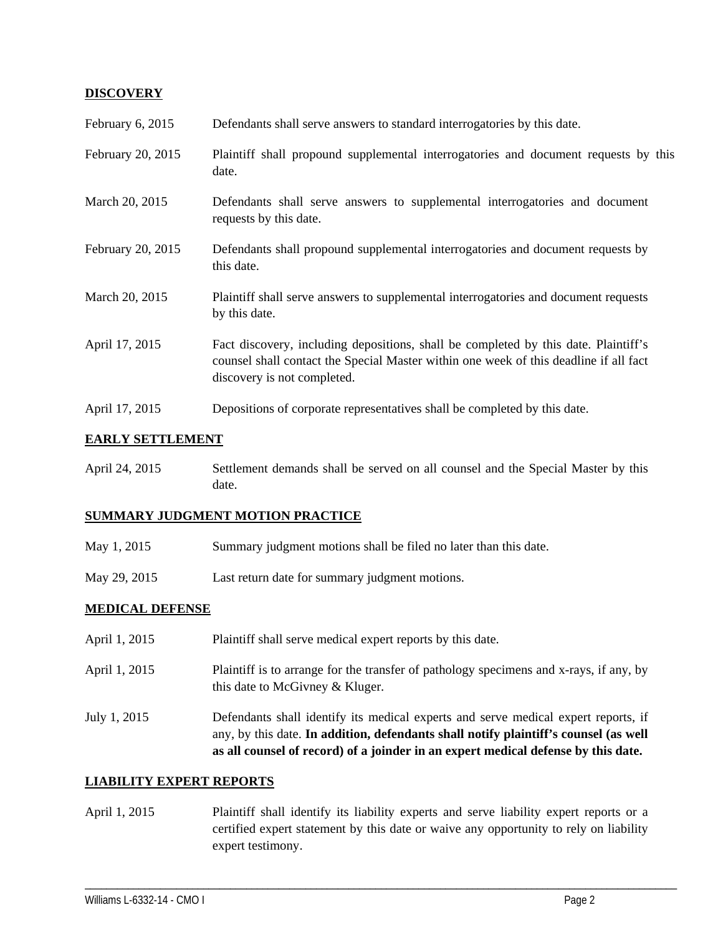### **DISCOVERY**

| February 6, 2015  | Defendants shall serve answers to standard interrogatories by this date.                                                                                                                                    |
|-------------------|-------------------------------------------------------------------------------------------------------------------------------------------------------------------------------------------------------------|
| February 20, 2015 | Plaintiff shall propound supplemental interrogatories and document requests by this<br>date.                                                                                                                |
| March 20, 2015    | Defendants shall serve answers to supplemental interrogatories and document<br>requests by this date.                                                                                                       |
| February 20, 2015 | Defendants shall propound supplemental interrogatories and document requests by<br>this date.                                                                                                               |
| March 20, 2015    | Plaintiff shall serve answers to supplemental interrogatories and document requests<br>by this date.                                                                                                        |
| April 17, 2015    | Fact discovery, including depositions, shall be completed by this date. Plaintiff's<br>counsel shall contact the Special Master within one week of this deadline if all fact<br>discovery is not completed. |
| April 17, 2015    | Depositions of corporate representatives shall be completed by this date.                                                                                                                                   |

### **EARLY SETTLEMENT**

April 24, 2015 Settlement demands shall be served on all counsel and the Special Master by this date.

#### **SUMMARY JUDGMENT MOTION PRACTICE**

- May 1, 2015 Summary judgment motions shall be filed no later than this date.
- May 29, 2015 Last return date for summary judgment motions.

#### **MEDICAL DEFENSE**

April 1, 2015 Plaintiff shall serve medical expert reports by this date. April 1, 2015 Plaintiff is to arrange for the transfer of pathology specimens and x-rays, if any, by this date to McGivney & Kluger. July 1, 2015 Defendants shall identify its medical experts and serve medical expert reports, if any, by this date. **In addition, defendants shall notify plaintiff's counsel (as well as all counsel of record) of a joinder in an expert medical defense by this date.** 

#### **LIABILITY EXPERT REPORTS**

April 1, 2015 Plaintiff shall identify its liability experts and serve liability expert reports or a certified expert statement by this date or waive any opportunity to rely on liability expert testimony.

\_\_\_\_\_\_\_\_\_\_\_\_\_\_\_\_\_\_\_\_\_\_\_\_\_\_\_\_\_\_\_\_\_\_\_\_\_\_\_\_\_\_\_\_\_\_\_\_\_\_\_\_\_\_\_\_\_\_\_\_\_\_\_\_\_\_\_\_\_\_\_\_\_\_\_\_\_\_\_\_\_\_\_\_\_\_\_\_\_\_\_\_\_\_\_\_\_\_\_\_\_\_\_\_\_\_\_\_\_\_